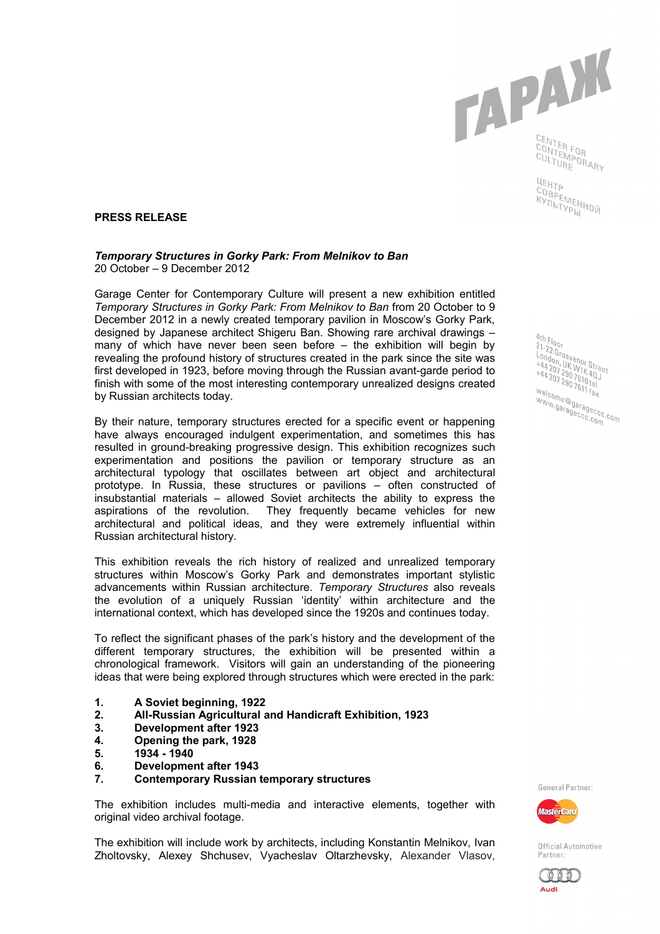

CENTER FOR<br>CONTEMPOR<br>CULTURE ORARY

ЦЕНТР ЧЕНТР<br>СОВРЕМЕННОЙ<br>КУЛЬТУРЫ

# **PRESS RELEASE**

## *Temporary Structures in Gorky Park: From Melnikov to Ban* 20 October – 9 December 2012

Garage Center for Contemporary Culture will present a new exhibition entitled *Temporary Structures in Gorky Park: From Melnikov to Ban* from 20 October to 9 December 2012 in a newly created temporary pavilion in Moscow's Gorky Park, designed by Japanese architect Shigeru Ban. Showing rare archival drawings – many of which have never been seen before – the exhibition will begin by revealing the profound history of structures created in the park since the site was first developed in 1923, before moving through the Russian avant-garde period to finish with some of the most interesting contemporary unrealized designs created by Russian architects today.

By their nature, temporary structures erected for a specific event or happening have always encouraged indulgent experimentation, and sometimes this has resulted in ground-breaking progressive design. This exhibition recognizes such experimentation and positions the pavilion or temporary structure as an architectural typology that oscillates between art object and architectural prototype. In Russia, these structures or pavilions – often constructed of insubstantial materials – allowed Soviet architects the ability to express the aspirations of the revolution. They frequently became vehicles for new architectural and political ideas, and they were extremely influential within Russian architectural history.

This exhibition reveals the rich history of realized and unrealized temporary structures within Moscow's Gorky Park and demonstrates important stylistic advancements within Russian architecture. *Temporary Structures* also reveals the evolution of a uniquely Russian 'identity' within architecture and the international context, which has developed since the 1920s and continues today.

To reflect the significant phases of the park's history and the development of the different temporary structures, the exhibition will be presented within a chronological framework. Visitors will gain an understanding of the pioneering ideas that were being explored through structures which were erected in the park:

- **1. A Soviet beginning, 1922**
- **2. All-Russian Agricultural and Handicraft Exhibition, 1923**
- **3. Development after 1923**
- **4. Opening the park, 1928**
- **5. 1934 1940**
- **6. Development after 1943**
- **7. Contemporary Russian temporary structures**

The exhibition includes multi-media and interactive elements, together with original video archival footage.

The exhibition will include work by architects, including Konstantin Melnikov, Ivan Zholtovsky, Alexey Shchusev, Vyacheslav Oltarzhevsky, Alexander Vlasov,

 $\frac{4thF_{100}}{21.22}$ +44 207 290 7610 tel<br>+44 207 290 7610 tel<br>Welcome@ www.garagecc.com<br>www.garageccc.com<br>www.garageccc.com welcome@garageccc.<br>www.garageccc.com<br>welcome@garageccc.com





Official Automotive Partner:

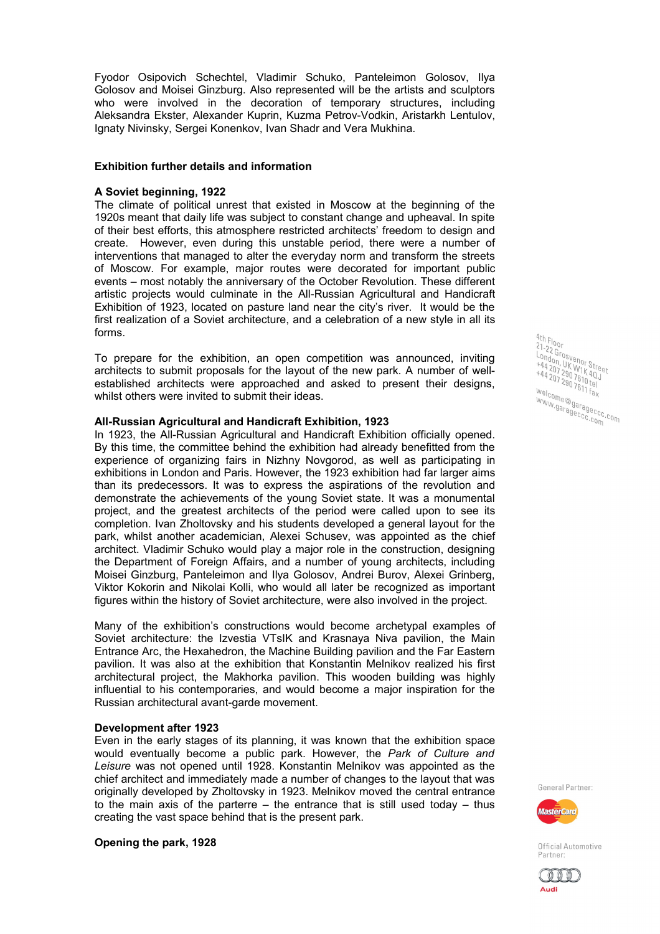Fyodor Osipovich Schechtel, Vladimir Schuko, Panteleimon Golosov, Ilya Golosov and Moisei Ginzburg. Also represented will be the artists and sculptors who were involved in the decoration of temporary structures, including Aleksandra Ekster, Alexander Kuprin, Kuzma Petrov-Vodkin, Aristarkh Lentulov, Ignaty Nivinsky, Sergei Konenkov, Ivan Shadr and Vera Mukhina.

## **Exhibition further details and information**

### **A Soviet beginning, 1922**

The climate of political unrest that existed in Moscow at the beginning of the 1920s meant that daily life was subject to constant change and upheaval. In spite of their best efforts, this atmosphere restricted architects' freedom to design and create. However, even during this unstable period, there were a number of interventions that managed to alter the everyday norm and transform the streets of Moscow. For example, major routes were decorated for important public events – most notably the anniversary of the October Revolution. These different artistic projects would culminate in the All-Russian Agricultural and Handicraft Exhibition of 1923, located on pasture land near the city's river. It would be the first realization of a Soviet architecture, and a celebration of a new style in all its forms.

To prepare for the exhibition, an open competition was announced, inviting architects to submit proposals for the layout of the new park. A number of wellestablished architects were approached and asked to present their designs, whilst others were invited to submit their ideas.

## **All-Russian Agricultural and Handicraft Exhibition, 1923**

In 1923, the All-Russian Agricultural and Handicraft Exhibition officially opened. By this time, the committee behind the exhibition had already benefitted from the experience of organizing fairs in Nizhny Novgorod, as well as participating in exhibitions in London and Paris. However, the 1923 exhibition had far larger aims than its predecessors. It was to express the aspirations of the revolution and demonstrate the achievements of the young Soviet state. It was a monumental project, and the greatest architects of the period were called upon to see its completion. Ivan Zholtovsky and his students developed a general layout for the park, whilst another academician, Alexei Schusev, was appointed as the chief architect. Vladimir Schuko would play a major role in the construction, designing the Department of Foreign Affairs, and a number of young architects, including Moisei Ginzburg, Panteleimon and Ilya Golosov, Andrei Burov, Alexei Grinberg, Viktor Kokorin and Nikolai Kolli, who would all later be recognized as important figures within the history of Soviet architecture, were also involved in the project.

Many of the exhibition's constructions would become archetypal examples of Soviet architecture: the Izvestia VTsIK and Krasnaya Niva pavilion, the Main Entrance Arc, the Hexahedron, the Machine Building pavilion and the Far Eastern pavilion. It was also at the exhibition that Konstantin Melnikov realized his first architectural project, the Makhorka pavilion. This wooden building was highly influential to his contemporaries, and would become a major inspiration for the Russian architectural avant-garde movement.

#### **Development after 1923**

Even in the early stages of its planning, it was known that the exhibition space would eventually become a public park. However, the *Park of Culture and Leisure* was not opened until 1928. Konstantin Melnikov was appointed as the chief architect and immediately made a number of changes to the layout that was originally developed by Zholtovsky in 1923. Melnikov moved the central entrance to the main axis of the parterre – the entrance that is still used today – thus creating the vast space behind that is the present park.



General Partner:



Official Automotive Partner:



**Opening the park, 1928**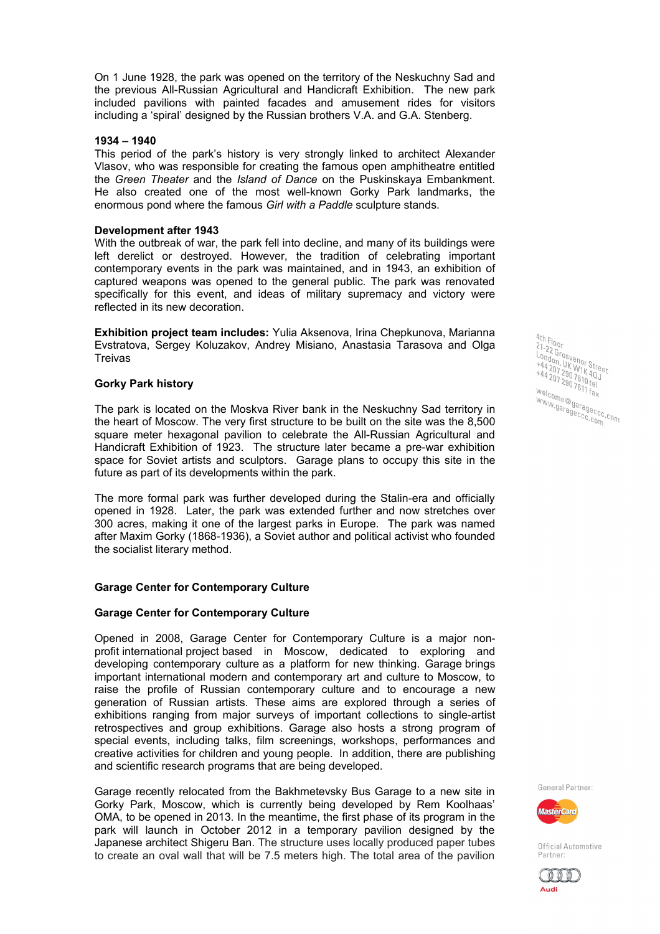On 1 June 1928, the park was opened on the territory of the Neskuchny Sad and the previous All-Russian Agricultural and Handicraft Exhibition. The new park included pavilions with painted facades and amusement rides for visitors including a 'spiral' designed by the Russian brothers V.A. and G.A. Stenberg.

### **1934 – 1940**

This period of the park's history is very strongly linked to architect Alexander Vlasov, who was responsible for creating the famous open amphitheatre entitled the *Green Theater* and the *Island of Dance* on the Puskinskaya Embankment. He also created one of the most well-known Gorky Park landmarks, the enormous pond where the famous *Girl with a Paddle* sculpture stands.

### **Development after 1943**

With the outbreak of war, the park fell into decline, and many of its buildings were left derelict or destroyed. However, the tradition of celebrating important contemporary events in the park was maintained, and in 1943, an exhibition of captured weapons was opened to the general public. The park was renovated specifically for this event, and ideas of military supremacy and victory were reflected in its new decoration.

**Exhibition project team includes:** Yulia Aksenova, Irina Chepkunova, Marianna Evstratova, Sergey Koluzakov, Andrey Misiano, Anastasia Tarasova and Olga **Treivas** 

## **Gorky Park history**

The park is located on the Moskva River bank in the Neskuchny Sad territory in the heart of Moscow. The very first structure to be built on the site was the 8,500 square meter hexagonal pavilion to celebrate the All-Russian Agricultural and Handicraft Exhibition of 1923. The structure later became a pre-war exhibition space for Soviet artists and sculptors. Garage plans to occupy this site in the future as part of its developments within the park.

The more formal park was further developed during the Stalin-era and officially opened in 1928. Later, the park was extended further and now stretches over 300 acres, making it one of the largest parks in Europe. The park was named after Maxim Gorky (1868-1936), a Soviet author and political activist who founded the socialist literary method.

## **Garage Center for Contemporary Culture**

#### **Garage Center for Contemporary Culture**

Opened in 2008, Garage Center for Contemporary Culture is a major nonprofit international project based in Moscow, dedicated to exploring and developing contemporary culture as a platform for new thinking. Garage brings important international modern and contemporary art and culture to Moscow, to raise the profile of Russian contemporary culture and to encourage a new generation of Russian artists. These aims are explored through a series of exhibitions ranging from major surveys of important collections to single-artist retrospectives and group exhibitions. Garage also hosts a strong program of special events, including talks, film screenings, workshops, performances and creative activities for children and young people. In addition, there are publishing and scientific research programs that are being developed.

Garage recently relocated from the Bakhmetevsky Bus Garage to a new site in Gorky Park, Moscow, which is currently being developed by Rem Koolhaas' OMA, to be opened in 2013. In the meantime, the first phase of its program in the park will launch in October 2012 in a temporary pavilion designed by the Japanese architect Shigeru Ban. The structure uses locally produced paper tubes to create an oval wall that will be 7.5 meters high. The total area of the pavilion

 $\frac{4thF}{21-22.0}$ 4th Floor<br>London, UK enor Street<br>+44 207 290 7610 401<br>+44 207 290 7610 tel<br>Welcom +44 207 290 7610 km<br>+44 207 290 7610 tel<br>Welcome@ www.garagecc.com<br>www.garageccc.com<br>www.garageccc.com welcome@garageccc.<br>www.garageccc.com<br>welcome@garageccc.com

General Partner:



Official Automotive Partner: